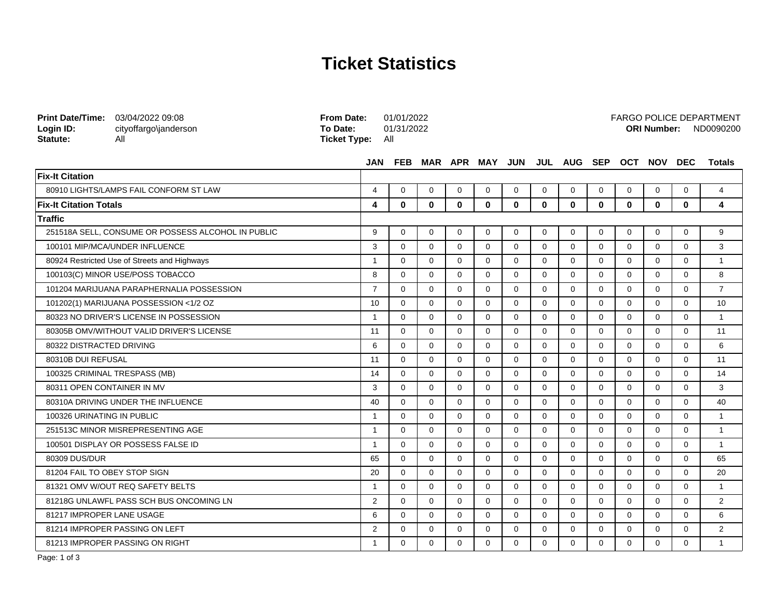## **Ticket Statistics**

**From Date:** 01/01/2022

FARGO POLICE DEPARTMENT

| Login ID:<br>Statute:                     | cityoffargo\janderson<br>All                       | To Date:<br><b>Ticket Type:</b> | 01/31/2022<br>All |              |             |                 |             |             |             |          | <b>ORI Number:</b><br>ND0090200 |             |          |                |  |
|-------------------------------------------|----------------------------------------------------|---------------------------------|-------------------|--------------|-------------|-----------------|-------------|-------------|-------------|----------|---------------------------------|-------------|----------|----------------|--|
|                                           |                                                    | <b>JAN</b>                      | <b>FEB</b>        |              |             | MAR APR MAY JUN |             |             | JUL AUG SEP |          |                                 | OCT NOV DEC |          | <b>Totals</b>  |  |
| <b>Fix-It Citation</b>                    |                                                    |                                 |                   |              |             |                 |             |             |             |          |                                 |             |          |                |  |
|                                           | 80910 LIGHTS/LAMPS FAIL CONFORM ST LAW             | $\overline{4}$                  | $\Omega$          | $\Omega$     | $\Omega$    | $\Omega$        | $\Omega$    | $\Omega$    | $\Omega$    | $\Omega$ | $\Omega$                        | $\Omega$    | $\Omega$ | $\overline{4}$ |  |
| <b>Fix-It Citation Totals</b>             |                                                    | 4                               | $\mathbf{0}$      | $\mathbf{0}$ | 0           | 0               | 0           | 0           | 0           | 0        | 0                               | 0           | 0        | 4              |  |
| Traffic                                   |                                                    |                                 |                   |              |             |                 |             |             |             |          |                                 |             |          |                |  |
|                                           | 251518A SELL, CONSUME OR POSSESS ALCOHOL IN PUBLIC | 9                               | $\mathbf 0$       | $\mathbf 0$  | $\mathbf 0$ | $\mathbf 0$     | $\mathbf 0$ | $\mathbf 0$ | 0           | 0        | 0                               | 0           | 0        | 9              |  |
|                                           | 100101 MIP/MCA/UNDER INFLUENCE                     | 3                               | $\Omega$          | $\Omega$     | $\Omega$    | $\Omega$        | $\Omega$    | $\Omega$    | $\Omega$    | $\Omega$ | $\Omega$                        | $\Omega$    | $\Omega$ | 3              |  |
|                                           | 80924 Restricted Use of Streets and Highways       | $\mathbf{1}$                    | $\Omega$          | $\Omega$     | $\Omega$    | $\mathbf 0$     | $\Omega$    | $\Omega$    | $\Omega$    | $\Omega$ | $\Omega$                        | $\Omega$    | $\Omega$ | $\mathbf{1}$   |  |
| 100103(C) MINOR USE/POSS TOBACCO          |                                                    | 8                               | $\mathbf 0$       | $\mathbf 0$  | $\mathbf 0$ | $\mathbf 0$     | $\Omega$    | $\mathbf 0$ | $\Omega$    | $\Omega$ | $\Omega$                        | $\Omega$    | $\Omega$ | 8              |  |
|                                           | 101204 MARIJUANA PARAPHERNALIA POSSESSION          | $\overline{7}$                  | $\Omega$          | $\mathbf 0$  | $\mathbf 0$ | $\mathbf 0$     | $\mathbf 0$ | $\mathbf 0$ | $\Omega$    | $\Omega$ | $\Omega$                        | $\mathbf 0$ | $\Omega$ | $\overline{7}$ |  |
|                                           | 101202(1) MARIJUANA POSSESSION <1/2 OZ             | 10                              | $\Omega$          | $\Omega$     | $\Omega$    | $\Omega$        | $\Omega$    | $\Omega$    | $\Omega$    | $\Omega$ | $\Omega$                        | $\Omega$    | $\Omega$ | 10             |  |
| 80323 NO DRIVER'S LICENSE IN POSSESSION   |                                                    | $\mathbf{1}$                    | $\Omega$          | $\mathbf 0$  | $\mathbf 0$ | $\mathbf 0$     | $\Omega$    | $\mathbf 0$ | $\Omega$    | $\Omega$ | $\Omega$                        | $\Omega$    | $\Omega$ | $\mathbf{1}$   |  |
| 80305B OMV/WITHOUT VALID DRIVER'S LICENSE |                                                    | 11                              | $\Omega$          | $\Omega$     | $\Omega$    | $\Omega$        | $\Omega$    | $\Omega$    | $\Omega$    | $\Omega$ | $\Omega$                        | $\Omega$    | $\Omega$ | 11             |  |
| 80322 DISTRACTED DRIVING                  |                                                    | 6                               | $\Omega$          | $\Omega$     | $\Omega$    | $\Omega$        | $\Omega$    | $\Omega$    | $\Omega$    | $\Omega$ | $\Omega$                        | $\Omega$    | $\Omega$ | 6              |  |
| 80310B DUI REFUSAL                        |                                                    | 11                              | $\Omega$          | $\Omega$     | $\Omega$    | $\Omega$        | $\Omega$    | $\Omega$    | $\Omega$    | $\Omega$ | $\Omega$                        | $\Omega$    | $\Omega$ | 11             |  |
|                                           | 100325 CRIMINAL TRESPASS (MB)                      | 14                              | $\Omega$          | $\Omega$     | $\Omega$    | $\Omega$        | $\Omega$    | $\Omega$    | $\Omega$    | $\Omega$ | $\Omega$                        | $\Omega$    | $\Omega$ | 14             |  |
|                                           | 80311 OPEN CONTAINER IN MV                         | 3                               | $\Omega$          | $\Omega$     | $\Omega$    | $\Omega$        | $\Omega$    | $\Omega$    | $\Omega$    | $\Omega$ | $\Omega$                        | $\Omega$    | $\Omega$ | 3              |  |
|                                           | 80310A DRIVING UNDER THE INFLUENCE                 | 40                              | $\Omega$          | $\Omega$     | $\Omega$    | $\Omega$        | $\Omega$    | $\Omega$    | $\Omega$    | $\Omega$ | $\Omega$                        | $\Omega$    | $\Omega$ | 40             |  |
| 100326 URINATING IN PUBLIC                |                                                    | $\overline{1}$                  | $\Omega$          | $\Omega$     | $\Omega$    | $\Omega$        | $\Omega$    | $\Omega$    | $\Omega$    | $\Omega$ | $\Omega$                        | $\Omega$    | $\Omega$ | $\mathbf{1}$   |  |
|                                           | 251513C MINOR MISREPRESENTING AGE                  | $\mathbf{1}$                    | $\Omega$          | $\Omega$     | $\Omega$    | $\Omega$        | $\Omega$    | $\Omega$    | $\Omega$    | $\Omega$ | $\Omega$                        | $\Omega$    | $\Omega$ | $\mathbf{1}$   |  |
|                                           | 100501 DISPLAY OR POSSESS FALSE ID                 | $\mathbf{1}$                    | $\Omega$          | $\Omega$     | $\Omega$    | $\Omega$        | $\Omega$    | $\Omega$    | $\Omega$    | $\Omega$ | $\Omega$                        | $\Omega$    | $\Omega$ | $\mathbf{1}$   |  |
| 80309 DUS/DUR                             |                                                    | 65                              | $\Omega$          | $\Omega$     | $\Omega$    | $\Omega$        | $\Omega$    | $\Omega$    | $\Omega$    | $\Omega$ | $\Omega$                        | $\Omega$    | $\Omega$ | 65             |  |
| 81204 FAIL TO OBEY STOP SIGN              |                                                    | 20                              | $\Omega$          | $\Omega$     | $\Omega$    | $\Omega$        | $\Omega$    | $\Omega$    | $\Omega$    | $\Omega$ | $\Omega$                        | $\Omega$    | $\Omega$ | 20             |  |
| 81321 OMV W/OUT REQ SAFETY BELTS          |                                                    | $\mathbf{1}$                    | $\Omega$          | $\Omega$     | $\Omega$    | $\Omega$        | $\Omega$    | $\Omega$    | $\Omega$    | $\Omega$ | $\Omega$                        | $\Omega$    | $\Omega$ | $\mathbf{1}$   |  |
| 81218G UNLAWFL PASS SCH BUS ONCOMING LN   |                                                    | 2                               | $\Omega$          | $\Omega$     | $\Omega$    | $\Omega$        | $\Omega$    | $\Omega$    | $\Omega$    | $\Omega$ | $\Omega$                        | $\Omega$    | $\Omega$ | 2              |  |
| 81217 IMPROPER LANE USAGE                 |                                                    | 6                               | $\Omega$          | $\Omega$     | $\Omega$    | $\Omega$        | $\Omega$    | $\Omega$    | $\Omega$    | $\Omega$ | $\Omega$                        | $\Omega$    | $\Omega$ | 6              |  |
| 81214 IMPROPER PASSING ON LEFT            |                                                    | 2                               | $\Omega$          | $\Omega$     | $\Omega$    | $\Omega$        | $\Omega$    | $\Omega$    | $\Omega$    | $\Omega$ | $\Omega$                        | $\Omega$    | $\Omega$ | 2              |  |
| 81213 IMPROPER PASSING ON RIGHT           |                                                    | $\mathbf{1}$                    | $\Omega$          | $\Omega$     | $\Omega$    | $\Omega$        | $\Omega$    | $\Omega$    | $\Omega$    | $\Omega$ | $\Omega$                        | $\Omega$    | $\Omega$ | $\mathbf{1}$   |  |

**Print Date/Time:** 03/04/2022 09:08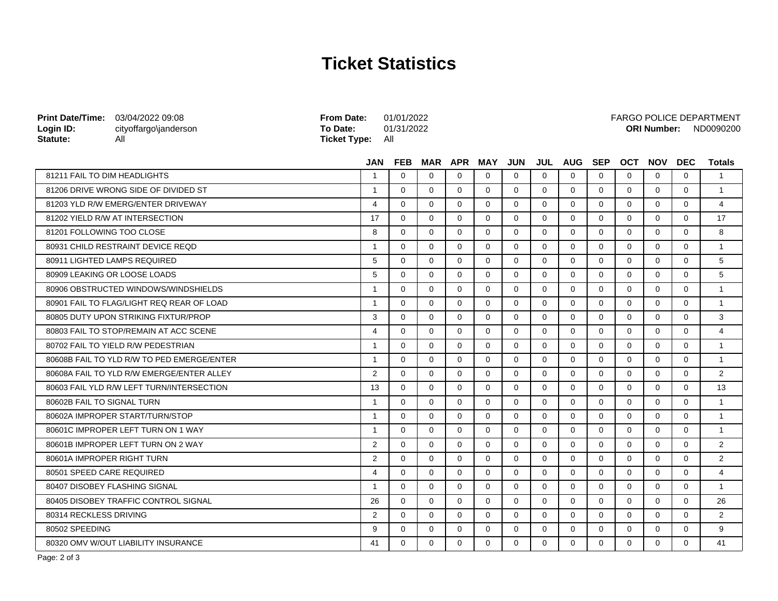## **Ticket Statistics**

| Print Date/Time: 03/04/2022 09:08<br>Login ID:<br>Statute: | cityoffargo\janderson<br>All               | <b>From Date:</b><br>To Date:<br><b>Ticket Type:</b> | 01/01/2022<br>01/31/2022<br>All |             |              |              |             |             |             |             |             | <b>ORI Number:</b> |             | <b>FARGO POLICE DEPARTMENT</b><br>ND0090200 |
|------------------------------------------------------------|--------------------------------------------|------------------------------------------------------|---------------------------------|-------------|--------------|--------------|-------------|-------------|-------------|-------------|-------------|--------------------|-------------|---------------------------------------------|
|                                                            |                                            | <b>JAN</b>                                           | <b>FEB</b>                      |             |              | MAR APR MAY  | <b>JUN</b>  |             | JUL AUG SEP |             | <b>OCT</b>  | <b>NOV</b>         | <b>DEC</b>  | <b>Totals</b>                               |
| 81211 FAIL TO DIM HEADLIGHTS                               |                                            | $\overline{1}$                                       | $\Omega$                        | $\Omega$    | $\Omega$     | $\Omega$     | $\Omega$    | $\Omega$    | $\Omega$    | $\Omega$    | $\Omega$    | $\Omega$           | $\Omega$    | $\overline{1}$                              |
|                                                            | 81206 DRIVE WRONG SIDE OF DIVIDED ST       | $\overline{1}$                                       | $\Omega$                        | $\Omega$    | $\Omega$     | $\Omega$     | $\Omega$    | $\Omega$    | $\Omega$    | $\Omega$    | $\Omega$    | $\Omega$           | $\Omega$    | $\overline{1}$                              |
|                                                            | 81203 YLD R/W EMERG/ENTER DRIVEWAY         | 4                                                    | $\Omega$                        | $\Omega$    | $\Omega$     | $\Omega$     | $\Omega$    | $\Omega$    | $\Omega$    | $\Omega$    | $\Omega$    | $\Omega$           | $\Omega$    | $\overline{4}$                              |
|                                                            | 81202 YIELD R/W AT INTERSECTION            | 17                                                   | $\Omega$                        | $\Omega$    | $\Omega$     | 0            | $\Omega$    | $\Omega$    | $\Omega$    | $\Omega$    | $\Omega$    | $\Omega$           | $\Omega$    | 17                                          |
| 81201 FOLLOWING TOO CLOSE                                  |                                            | 8                                                    | $\Omega$                        | $\Omega$    | $\Omega$     | $\Omega$     | $\Omega$    | $\Omega$    | $\Omega$    | $\Omega$    | $\Omega$    | $\Omega$           | $\Omega$    | 8                                           |
| 80931 CHILD RESTRAINT DEVICE REOD                          |                                            | $\mathbf{1}$                                         | $\Omega$                        | $\Omega$    | $\Omega$     | $\Omega$     | $\Omega$    | $\Omega$    | $\Omega$    | $\Omega$    | $\Omega$    | $\Omega$           | $\Omega$    | $\overline{1}$                              |
|                                                            | 80911 LIGHTED LAMPS REQUIRED               | 5                                                    | $\Omega$                        | $\Omega$    | $\Omega$     | $\Omega$     | $\Omega$    | $\Omega$    | $\Omega$    | $\Omega$    | $\Omega$    | $\Omega$           | $\Omega$    | 5                                           |
|                                                            | 80909 LEAKING OR LOOSE LOADS               | 5                                                    | $\Omega$                        | $\Omega$    | $\Omega$     | $\Omega$     | $\Omega$    | $\Omega$    | $\Omega$    | $\Omega$    | $\Omega$    | $\Omega$           | $\Omega$    | 5                                           |
|                                                            | 80906 OBSTRUCTED WINDOWS/WINDSHIELDS       | $\overline{1}$                                       | $\Omega$                        | $\Omega$    | $\Omega$     | $\Omega$     | $\Omega$    | $\Omega$    | $\Omega$    | $\Omega$    | $\Omega$    | $\Omega$           | $\Omega$    | $\mathbf{1}$                                |
|                                                            | 80901 FAIL TO FLAG/LIGHT REQ REAR OF LOAD  | $\mathbf{1}$                                         | $\mathbf 0$                     | $\Omega$    | $\Omega$     | 0            | $\Omega$    | $\Omega$    | $\Omega$    | $\Omega$    | $\Omega$    | $\Omega$           | $\Omega$    | $\overline{1}$                              |
|                                                            | 80805 DUTY UPON STRIKING FIXTUR/PROP       | 3                                                    | $\Omega$                        | $\Omega$    | $\Omega$     | $\Omega$     | $\Omega$    | $\Omega$    | $\Omega$    | $\Omega$    | $\Omega$    | $\Omega$           | $\Omega$    | 3                                           |
|                                                            | 80803 FAIL TO STOP/REMAIN AT ACC SCENE     | 4                                                    | $\Omega$                        | $\Omega$    | $\Omega$     | $\Omega$     | $\Omega$    | $\Omega$    | $\Omega$    | $\Omega$    | $\Omega$    | $\Omega$           | $\Omega$    | $\overline{4}$                              |
|                                                            | 80702 FAIL TO YIELD R/W PEDESTRIAN         | $\overline{1}$                                       | $\Omega$                        | $\Omega$    | $\Omega$     | $\Omega$     | $\Omega$    | $\Omega$    | $\Omega$    | $\Omega$    | $\Omega$    | $\Omega$           | $\Omega$    | $\overline{1}$                              |
|                                                            | 80608B FAIL TO YLD R/W TO PED EMERGE/ENTER | $\overline{1}$                                       | $\Omega$                        | $\Omega$    | $\Omega$     | $\Omega$     | $\Omega$    | $\Omega$    | $\Omega$    | $\Omega$    | $\Omega$    | $\Omega$           | $\Omega$    | $\mathbf{1}$                                |
|                                                            | 80608A FAIL TO YLD R/W EMERGE/ENTER ALLEY  | $\overline{2}$                                       | $\mathbf 0$                     | $\mathbf 0$ | $\mathbf 0$  | $\mathbf 0$  | $\mathbf 0$ | $\mathbf 0$ | $\mathbf 0$ | $\mathbf 0$ | $\mathbf 0$ | $\mathbf 0$        | $\mathbf 0$ | 2                                           |
|                                                            | 80603 FAIL YLD R/W LEFT TURN/INTERSECTION  | 13                                                   | $\mathbf 0$                     | $\mathbf 0$ | $\mathbf{0}$ | $\mathbf{0}$ | $\mathbf 0$ | $\mathbf 0$ | $\Omega$    | $\mathbf 0$ | $\Omega$    | $\Omega$           | $\Omega$    | 13                                          |
| 80602B FAIL TO SIGNAL TURN                                 |                                            | $\mathbf{1}$                                         | $\Omega$                        | $\Omega$    | $\Omega$     | $\Omega$     | $\Omega$    | $\Omega$    | $\Omega$    | $\Omega$    | $\Omega$    | $\Omega$           | $\Omega$    | $\overline{1}$                              |
|                                                            | 80602A IMPROPER START/TURN/STOP            | $\mathbf{1}$                                         | $\Omega$                        | $\Omega$    | $\Omega$     | $\Omega$     | $\Omega$    | $\Omega$    | $\Omega$    | $\Omega$    | $\Omega$    | $\Omega$           | $\Omega$    | $\overline{1}$                              |
|                                                            | 80601C IMPROPER LEFT TURN ON 1 WAY         | $\mathbf 1$                                          | $\Omega$                        | $\Omega$    | $\Omega$     | $\Omega$     | $\Omega$    | $\Omega$    | $\Omega$    | $\Omega$    | $\Omega$    | $\Omega$           | $\Omega$    | $\mathbf{1}$                                |
|                                                            | 80601B IMPROPER LEFT TURN ON 2 WAY         | 2                                                    | $\Omega$                        | $\Omega$    | $\Omega$     | $\Omega$     | $\Omega$    | $\Omega$    | $\Omega$    | $\Omega$    | $\Omega$    | $\Omega$           | $\Omega$    | 2                                           |
| 80601A IMPROPER RIGHT TURN                                 |                                            | 2                                                    | $\Omega$                        | $\Omega$    | $\Omega$     | $\Omega$     | $\Omega$    | $\Omega$    | $\Omega$    | $\Omega$    | $\Omega$    | $\Omega$           | $\Omega$    | 2                                           |
| 80501 SPEED CARE REQUIRED                                  |                                            | 4                                                    | $\Omega$                        | $\Omega$    | $\Omega$     | 0            | $\Omega$    | $\Omega$    | $\Omega$    | $\Omega$    | $\Omega$    | $\Omega$           | $\Omega$    | 4                                           |
|                                                            | 80407 DISOBEY FLASHING SIGNAL              | $\overline{1}$                                       | $\Omega$                        | $\Omega$    | $\Omega$     | $\Omega$     | $\Omega$    | $\Omega$    | $\Omega$    | $\Omega$    | $\Omega$    | $\Omega$           | $\Omega$    | $\overline{1}$                              |
|                                                            | 80405 DISOBEY TRAFFIC CONTROL SIGNAL       | 26                                                   | $\Omega$                        | $\Omega$    | $\Omega$     | $\Omega$     | $\Omega$    | $\Omega$    | $\Omega$    | $\Omega$    | $\Omega$    | $\Omega$           | $\Omega$    | 26                                          |
| 80314 RECKLESS DRIVING                                     |                                            | 2                                                    | $\Omega$                        | $\mathbf 0$ | $\mathbf 0$  | $\mathbf 0$  | 0           | 0           | $\Omega$    | $\mathbf 0$ | $\Omega$    | $\Omega$           | $\Omega$    | 2                                           |
| 80502 SPEEDING                                             |                                            | 9                                                    | $\Omega$                        | $\Omega$    | $\Omega$     | $\Omega$     | $\Omega$    | $\Omega$    | $\Omega$    | $\Omega$    | $\Omega$    | $\Omega$           | $\Omega$    | 9                                           |
|                                                            | 80320 OMV W/OUT LIABILITY INSURANCE        | 41                                                   | $\Omega$                        | $\Omega$    | $\Omega$     | 0            | $\Omega$    | $\Omega$    | $\Omega$    | $\Omega$    | $\Omega$    | $\Omega$           | $\Omega$    | 41                                          |